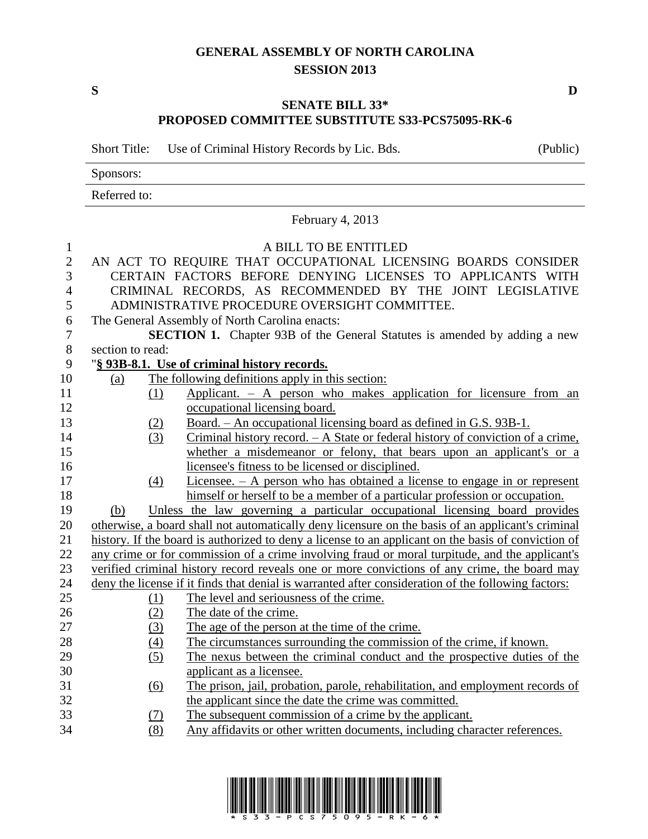## **GENERAL ASSEMBLY OF NORTH CAROLINA SESSION 2013**

**S D**

## **SENATE BILL 33\* PROPOSED COMMITTEE SUBSTITUTE S33-PCS75095-RK-6**

Short Title: Use of Criminal History Records by Lic. Bds. (Public)

Sponsors:

Referred to:

|                |                                                                                                     | February 4, 2013                                                                                    |  |  |  |
|----------------|-----------------------------------------------------------------------------------------------------|-----------------------------------------------------------------------------------------------------|--|--|--|
| $\mathbf{1}$   |                                                                                                     | A BILL TO BE ENTITLED                                                                               |  |  |  |
| $\overline{2}$ |                                                                                                     | AN ACT TO REQUIRE THAT OCCUPATIONAL LICENSING BOARDS CONSIDER                                       |  |  |  |
| 3              | CERTAIN FACTORS BEFORE DENYING LICENSES TO APPLICANTS WITH                                          |                                                                                                     |  |  |  |
| $\overline{4}$ | CRIMINAL RECORDS, AS RECOMMENDED BY THE JOINT LEGISLATIVE                                           |                                                                                                     |  |  |  |
| 5              | ADMINISTRATIVE PROCEDURE OVERSIGHT COMMITTEE.                                                       |                                                                                                     |  |  |  |
| 6              | The General Assembly of North Carolina enacts:                                                      |                                                                                                     |  |  |  |
| $\tau$         | <b>SECTION 1.</b> Chapter 93B of the General Statutes is amended by adding a new                    |                                                                                                     |  |  |  |
| $8\,$          | section to read:                                                                                    |                                                                                                     |  |  |  |
| 9              | "§ 93B-8.1. Use of criminal history records.                                                        |                                                                                                     |  |  |  |
| 10             | (a)                                                                                                 | The following definitions apply in this section:                                                    |  |  |  |
| 11             | (1)                                                                                                 | Applicant. $-$ A person who makes application for licensure from an                                 |  |  |  |
| 12             |                                                                                                     | occupational licensing board.                                                                       |  |  |  |
| 13             | (2)                                                                                                 | Board. - An occupational licensing board as defined in G.S. 93B-1.                                  |  |  |  |
| 14             | (3)                                                                                                 | Criminal history record. $- A$ State or federal history of conviction of a crime,                   |  |  |  |
| 15             |                                                                                                     | whether a misdemeanor or felony, that bears upon an applicant's or a                                |  |  |  |
| 16             |                                                                                                     | licensee's fitness to be licensed or disciplined.                                                   |  |  |  |
| 17             | $\left(4\right)$                                                                                    | Licensee. $- A$ person who has obtained a license to engage in or represent                         |  |  |  |
| 18             |                                                                                                     | himself or herself to be a member of a particular profession or occupation.                         |  |  |  |
| 19             | (b)                                                                                                 | Unless the law governing a particular occupational licensing board provides                         |  |  |  |
| 20             |                                                                                                     | otherwise, a board shall not automatically deny licensure on the basis of an applicant's criminal   |  |  |  |
| 21             | history. If the board is authorized to deny a license to an applicant on the basis of conviction of |                                                                                                     |  |  |  |
| 22             | any crime or for commission of a crime involving fraud or moral turpitude, and the applicant's      |                                                                                                     |  |  |  |
| 23             |                                                                                                     | verified criminal history record reveals one or more convictions of any crime, the board may        |  |  |  |
| 24<br>25       |                                                                                                     | deny the license if it finds that denial is warranted after consideration of the following factors: |  |  |  |
| 26             | (1)                                                                                                 | The level and seriousness of the crime.<br>The date of the crime.                                   |  |  |  |
| 27             | (2)                                                                                                 | The age of the person at the time of the crime.                                                     |  |  |  |
| 28             | (3)                                                                                                 | The circumstances surrounding the commission of the crime, if known.                                |  |  |  |
| 29             | $\left(4\right)$<br>(5)                                                                             | The nexus between the criminal conduct and the prospective duties of the                            |  |  |  |
| 30             |                                                                                                     | applicant as a licensee.                                                                            |  |  |  |
| 31             | $\overline{(6)}$                                                                                    | The prison, jail, probation, parole, rehabilitation, and employment records of                      |  |  |  |
| 32             |                                                                                                     | the applicant since the date the crime was committed.                                               |  |  |  |
| 33             | (7)                                                                                                 | The subsequent commission of a crime by the applicant.                                              |  |  |  |
| 34             | (8)                                                                                                 | Any affidavits or other written documents, including character references.                          |  |  |  |
|                |                                                                                                     |                                                                                                     |  |  |  |